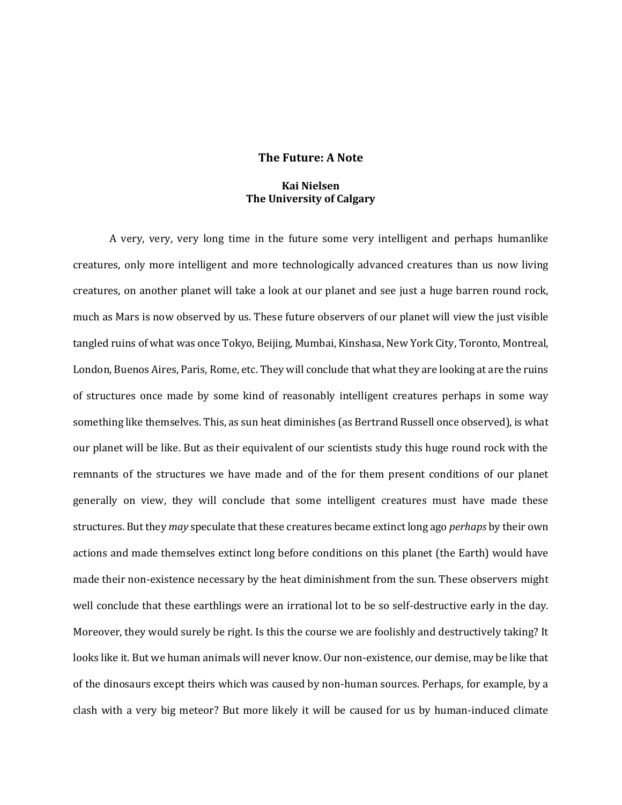## **The Future: A Note**

## **Kai Nielsen The University of Calgary**

A very, very, very long time in the future some very intelligent and perhaps humanlike creatures, only more intelligent and more technologically advanced creatures than us now living creatures, on another planet will take a look at our planet and see just a huge barren round rock, much as Mars is now observed by us. These future observers of our planet will view the just visible tangled ruins of what was once Tokyo, Beijing, Mumbai, Kinshasa, New York City, Toronto, Montreal, London, Buenos Aires, Paris, Rome, etc. They will conclude that what they are looking at are the ruins of structures once made by some kind of reasonably intelligent creatures perhaps in some way something like themselves. This, as sun heat diminishes (as Bertrand Russell once observed), is what our planet will be like. But as their equivalent of our scientists study this huge round rock with the remnants of the structures we have made and of the for them present conditions of our planet generally on view, they will conclude that some intelligent creatures must have made these structures. But they *may* speculate that these creatures became extinct long ago *perhaps* by their own actions and made themselves extinct long before conditions on this planet (the Earth) would have made their non-existence necessary by the heat diminishment from the sun. These observers might well conclude that these earthlings were an irrational lot to be so self-destructive early in the day. Moreover, they would surely be right. Is this the course we are foolishly and destructively taking? It looks like it. But we human animals will never know. Our non-existence, our demise, may be like that of the dinosaurs except theirs which was caused by non-human sources. Perhaps, for example, by a clash with a very big meteor? But more likely it will be caused for us by human-induced climate